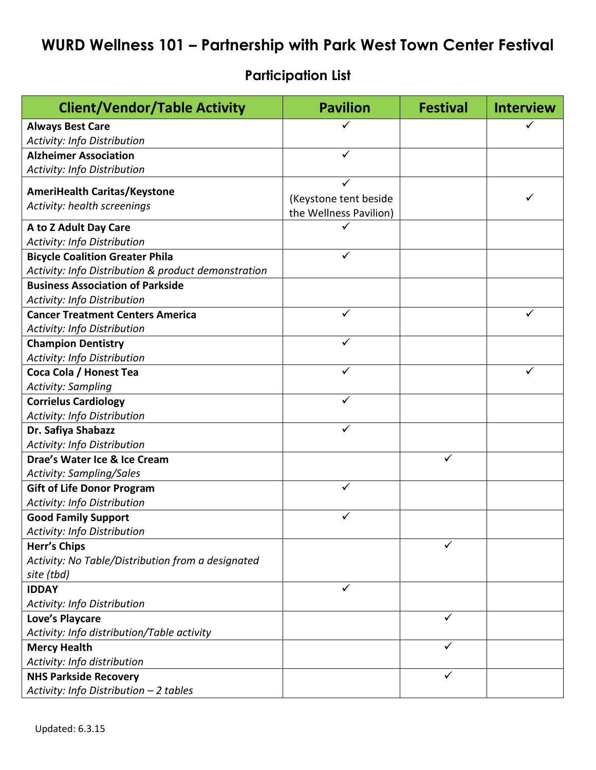## **WURD Wellness 101 - Partnership with Park West Town Center Festival**

## **Participation List**

| <b>Client/Vendor/Table Activity</b>                 | <b>Pavilion</b>        | <b>Festival</b> | <b>Interview</b> |
|-----------------------------------------------------|------------------------|-----------------|------------------|
| <b>Always Best Care</b>                             |                        |                 |                  |
| Activity: Info Distribution                         |                        |                 |                  |
| <b>Alzheimer Association</b>                        | ✓                      |                 |                  |
| Activity: Info Distribution                         |                        |                 |                  |
|                                                     |                        |                 |                  |
| <b>AmeriHealth Caritas/Keystone</b>                 | (Keystone tent beside  |                 |                  |
| Activity: health screenings                         | the Wellness Pavilion) |                 |                  |
| A to Z Adult Day Care                               |                        |                 |                  |
| Activity: Info Distribution                         |                        |                 |                  |
| <b>Bicycle Coalition Greater Phila</b>              | ✓                      |                 |                  |
| Activity: Info Distribution & product demonstration |                        |                 |                  |
| <b>Business Association of Parkside</b>             |                        |                 |                  |
| Activity: Info Distribution                         |                        |                 |                  |
| <b>Cancer Treatment Centers America</b>             | $\checkmark$           |                 | ✓                |
| Activity: Info Distribution                         |                        |                 |                  |
| <b>Champion Dentistry</b>                           | ✓                      |                 |                  |
| Activity: Info Distribution                         |                        |                 |                  |
| Coca Cola / Honest Tea                              | ✓                      |                 | $\checkmark$     |
| <b>Activity: Sampling</b>                           |                        |                 |                  |
| <b>Corrielus Cardiology</b>                         | ✓                      |                 |                  |
| Activity: Info Distribution                         |                        |                 |                  |
| Dr. Safiya Shabazz                                  | ✓                      |                 |                  |
| Activity: Info Distribution                         |                        |                 |                  |
| Drae's Water Ice & Ice Cream                        |                        | ✓               |                  |
| <b>Activity: Sampling/Sales</b>                     |                        |                 |                  |
| <b>Gift of Life Donor Program</b>                   | $\checkmark$           |                 |                  |
| <b>Activity: Info Distribution</b>                  |                        |                 |                  |
| <b>Good Family Support</b>                          | ✓                      |                 |                  |
| Activity: Info Distribution                         |                        |                 |                  |
| <b>Herr's Chips</b>                                 |                        | ✓               |                  |
| Activity: No Table/Distribution from a designated   |                        |                 |                  |
| site (tbd)                                          |                        |                 |                  |
| <b>IDDAY</b>                                        | ✓                      |                 |                  |
| Activity: Info Distribution                         |                        |                 |                  |
| <b>Love's Playcare</b>                              |                        | ✓               |                  |
| Activity: Info distribution/Table activity          |                        |                 |                  |
| <b>Mercy Health</b>                                 |                        | ✓               |                  |
| Activity: Info distribution                         |                        |                 |                  |
| <b>NHS Parkside Recovery</b>                        |                        | $\checkmark$    |                  |
| Activity: Info Distribution - 2 tables              |                        |                 |                  |